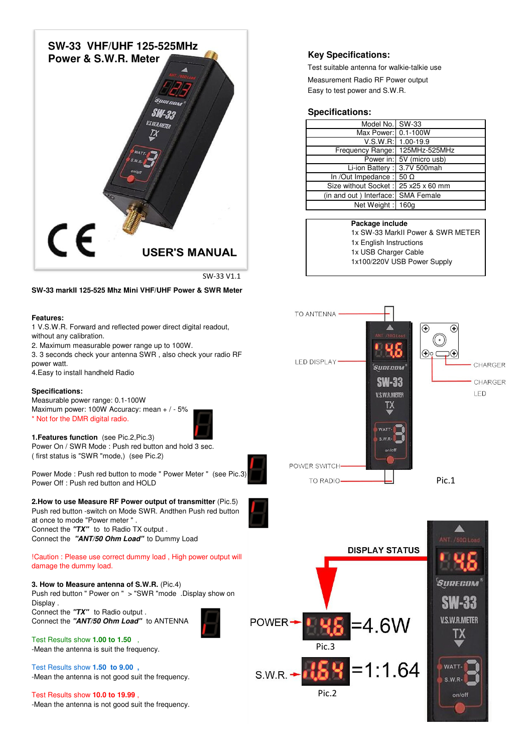

SW-33 V1.1

## **SW-33 markII 125-525 Mhz Mini VHF/UHF Power & SWR Meter**

#### **Features:**

1 V.S.W.R. Forward and reflected power direct digital readout, without any calibration.

2. Maximum measurable power range up to 100W.

3. 3 seconds check your antenna SWR , also check your radio RF power watt.

4.Easy to install handheld Radio

#### **Specifications:**

Measurable power range: 0.1-100W Maximum power: 100W Accuracy: mean + / - 5% \* Not for the DMR digital radio.



**1.Features function** (see Pic.2,Pic.3) Power On / SWR Mode : Push red button and hold 3 sec. ( first status is "SWR "mode,) (see Pic.2)

Power Mode : Push red button to mode " Power Meter " (see Pic.3) Power Off : Push red button and HOLD

### **2.How to use Measure RF Power output of transmitter** (Pic.5) Push red button -switch on Mode SWR. Andthen Push red button



Connect the **"TX"** to to Radio TX output . Connect the **"ANT/50 Ohm Load"** to Dummy Load

at once to mode "Power meter " .

#### !Caution : Please use correct dummy load , High power output will damage the dummy load.

**3. How to Measure antenna of S.W.R.** (Pic.4) Push red button " Power on " > "SWR "mode .Display show on Display . Connect the **"TX"** to Radio output .

Connect the **"ANT/50 Ohm Load"** to ANTENNA

Test Results show **1.00 to 1.50** , -Mean the antenna is suit the frequency.

Test Results show **1.50 to 9.00 ,** -Mean the antenna is not good suit the frequency.

Test Results show **10.0 to 19.99** , -Mean the antenna is not good suit the frequency.

# **Key Specifications:**

Test suitable antenna for walkie-talkie use Measurement Radio RF Power output Easy to test power and S.W.R.

# **Specifications:**

| Model No. SW-33                     |                          |
|-------------------------------------|--------------------------|
| Max Power: 0.1-100W                 |                          |
|                                     | V.S.W.R: 1.00-19.9       |
| Frequency Range: 125MHz-525MHz      |                          |
|                                     | Power in: 5V (micro usb) |
| Li-ion Battery: 3.7V 500mah         |                          |
| In /Out Impedance : $50 \Omega$     |                          |
| Size without Socket: 25 x25 x 60 mm |                          |
| (in and out ) Interface: SMA Female |                          |
| Net Weight: 160g                    |                          |

## **Package include**

1x English Instructions 1x USB Charger Cable 1x100/220V USB Power Supply 1x SW-33 MarkII Power & SWR METER

TO ANTENNA - $\bigoplus$  $\bigodot$  $\bigoplus$ o C O LED DISPLAY CHARGER SURECOM **SW-33** CHARGER **V.S.W.R.METER LED** TΧ POWER SWITCH-Pic.1 TO RADIO-